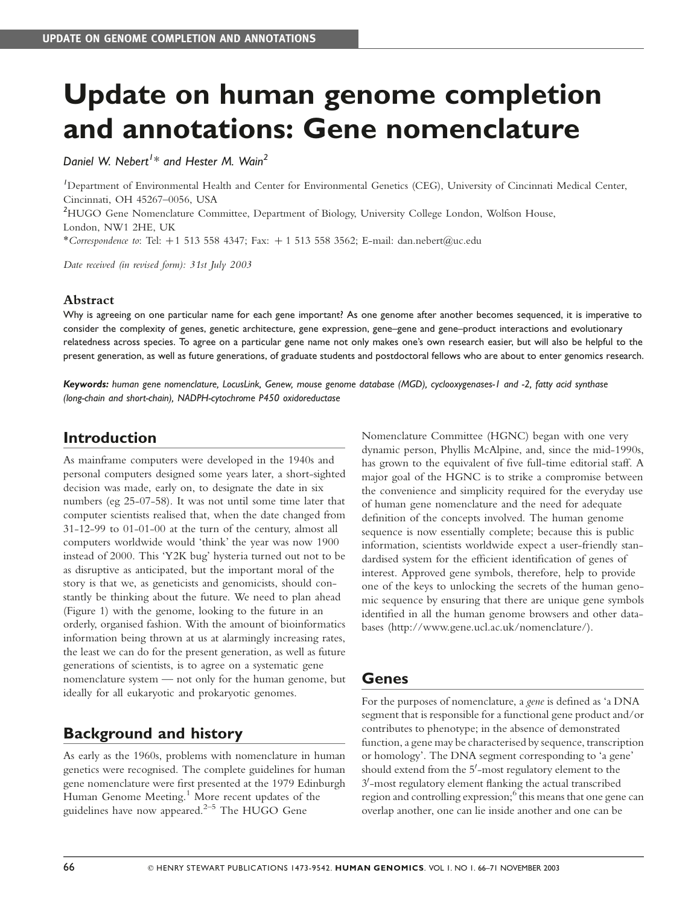# Update on human genome completion and annotations: Gene nomenclature

Daniel W. Nebert $^{l \, *}$  and Hester M. Wain $^{2}$ 

<sup>1</sup>Department of Environmental Health and Center for Environmental Genetics (CEG), University of Cincinnati Medical Center, Cincinnati, OH 45267–0056, USA <sup>2</sup>HUGO Gene Nomenclature Committee, Department of Biology, University College London, Wolfson House, London, NW1 2HE, UK \*Correspondence to: Tel:  $+1$  513 558 4347; Fax:  $+1$  513 558 3562; E-mail: dan.nebert@uc.edu

Date received (in revised form): 31st July 2003

#### Abstract

Why is agreeing on one particular name for each gene important? As one genome after another becomes sequenced, it is imperative to consider the complexity of genes, genetic architecture, gene expression, gene–gene and gene–product interactions and evolutionary relatedness across species. To agree on a particular gene name not only makes one's own research easier, but will also be helpful to the present generation, as well as future generations, of graduate students and postdoctoral fellows who are about to enter genomics research.

Keywords: human gene nomenclature, LocusLink, Genew, mouse genome database (MGD), cyclooxygenases-1 and -2, fatty acid synthase (long-chain and short-chain), NADPH-cytochrome P450 oxidoreductase

#### Introduction

As mainframe computers were developed in the 1940s and personal computers designed some years later, a short-sighted decision was made, early on, to designate the date in six numbers (eg 25-07-58). It was not until some time later that computer scientists realised that, when the date changed from 31-12-99 to 01-01-00 at the turn of the century, almost all computers worldwide would 'think' the year was now 1900 instead of 2000. This 'Y2K bug' hysteria turned out not to be as disruptive as anticipated, but the important moral of the story is that we, as geneticists and genomicists, should constantly be thinking about the future. We need to plan ahead (Figure 1) with the genome, looking to the future in an orderly, organised fashion. With the amount of bioinformatics information being thrown at us at alarmingly increasing rates, the least we can do for the present generation, as well as future generations of scientists, is to agree on a systematic gene nomenclature system — not only for the human genome, but ideally for all eukaryotic and prokaryotic genomes.

# Background and history

As early as the 1960s, problems with nomenclature in human genetics were recognised. The complete guidelines for human gene nomenclature were first presented at the 1979 Edinburgh Human Genome Meeting.<sup>1</sup> More recent updates of the guidelines have now appeared. $2-5$  The HUGO Gene

Nomenclature Committee (HGNC) began with one very dynamic person, Phyllis McAlpine, and, since the mid-1990s, has grown to the equivalent of five full-time editorial staff. A major goal of the HGNC is to strike a compromise between the convenience and simplicity required for the everyday use of human gene nomenclature and the need for adequate definition of the concepts involved. The human genome sequence is now essentially complete; because this is public information, scientists worldwide expect a user-friendly standardised system for the efficient identification of genes of interest. Approved gene symbols, therefore, help to provide one of the keys to unlocking the secrets of the human genomic sequence by ensuring that there are unique gene symbols identified in all the human genome browsers and other databases (http://www.gene.ucl.ac.uk/nomenclature/).

## Genes

For the purposes of nomenclature, a gene is defined as 'a DNA segment that is responsible for a functional gene product and/or contributes to phenotype; in the absence of demonstrated function, a gene may be characterised by sequence, transcription or homology'. The DNA segment corresponding to 'a gene' should extend from the 5'-most regulatory element to the 3'-most regulatory element flanking the actual transcribed region and controlling expression;<sup>6</sup> this means that one gene can overlap another, one can lie inside another and one can be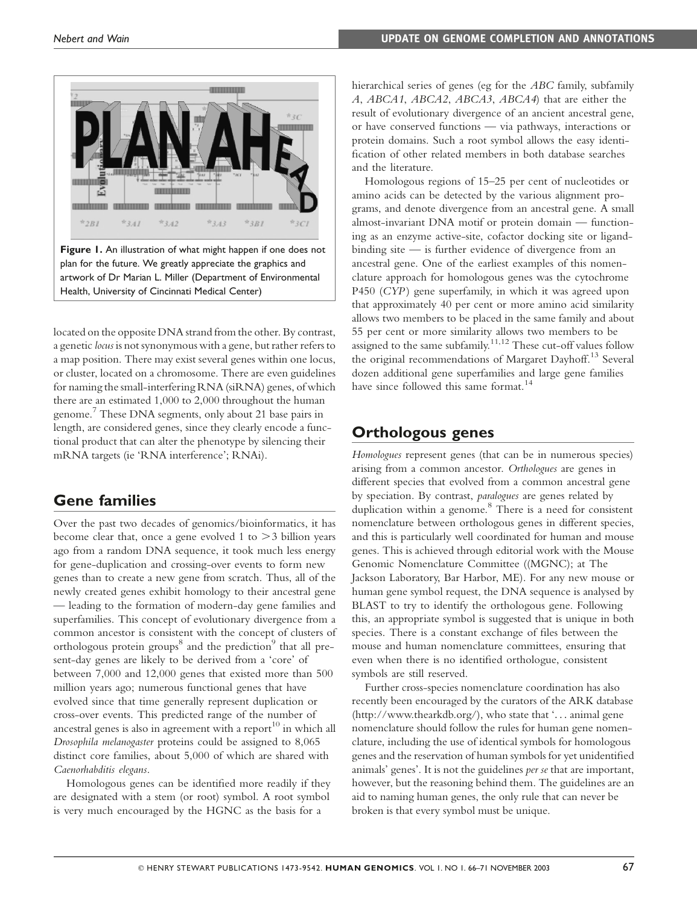

Figure 1. An illustration of what might happen if one does not plan for the future. We greatly appreciate the graphics and artwork of Dr Marian L. Miller (Department of Environmental Health, University of Cincinnati Medical Center)

located on the opposite DNA strand from the other. By contrast, a genetic locus is not synonymous with a gene, but rather refers to a map position. There may exist several genes within one locus, or cluster, located on a chromosome. There are even guidelines for naming the small-interfering RNA (siRNA) genes, of which there are an estimated 1,000 to 2,000 throughout the human genome.<sup>7</sup> These DNA segments, only about 21 base pairs in length, are considered genes, since they clearly encode a functional product that can alter the phenotype by silencing their mRNA targets (ie 'RNA interference'; RNAi).

#### Gene families

Over the past two decades of genomics/bioinformatics, it has become clear that, once a gene evolved 1 to  $>$  3 billion years ago from a random DNA sequence, it took much less energy for gene-duplication and crossing-over events to form new genes than to create a new gene from scratch. Thus, all of the newly created genes exhibit homology to their ancestral gene — leading to the formation of modern-day gene families and superfamilies. This concept of evolutionary divergence from a common ancestor is consistent with the concept of clusters of orthologous protein groups<sup>8</sup> and the prediction<sup>9</sup> that all present-day genes are likely to be derived from a 'core' of between 7,000 and 12,000 genes that existed more than 500 million years ago; numerous functional genes that have evolved since that time generally represent duplication or cross-over events. This predicted range of the number of ancestral genes is also in agreement with a report $10$  in which all Drosophila melanogaster proteins could be assigned to 8,065 distinct core families, about 5,000 of which are shared with Caenorhabditis elegans.

Homologous genes can be identified more readily if they are designated with a stem (or root) symbol. A root symbol is very much encouraged by the HGNC as the basis for a

hierarchical series of genes (eg for the ABC family, subfamily A, ABCA1, ABCA2, ABCA3, ABCA4) that are either the result of evolutionary divergence of an ancient ancestral gene, or have conserved functions — via pathways, interactions or protein domains. Such a root symbol allows the easy identification of other related members in both database searches and the literature.

Homologous regions of 15–25 per cent of nucleotides or amino acids can be detected by the various alignment programs, and denote divergence from an ancestral gene. A small almost-invariant DNA motif or protein domain — functioning as an enzyme active-site, cofactor docking site or ligandbinding site — is further evidence of divergence from an ancestral gene. One of the earliest examples of this nomenclature approach for homologous genes was the cytochrome P450 (CYP) gene superfamily, in which it was agreed upon that approximately 40 per cent or more amino acid similarity allows two members to be placed in the same family and about 55 per cent or more similarity allows two members to be assigned to the same subfamily.<sup>11,12</sup> These cut-off values follow the original recommendations of Margaret Dayhoff.<sup>13</sup> Several dozen additional gene superfamilies and large gene families have since followed this same format.<sup>14</sup>

#### Orthologous genes

Homologues represent genes (that can be in numerous species) arising from a common ancestor. Orthologues are genes in different species that evolved from a common ancestral gene by speciation. By contrast, paralogues are genes related by duplication within a genome.<sup>8</sup> There is a need for consistent nomenclature between orthologous genes in different species, and this is particularly well coordinated for human and mouse genes. This is achieved through editorial work with the Mouse Genomic Nomenclature Committee ((MGNC); at The Jackson Laboratory, Bar Harbor, ME). For any new mouse or human gene symbol request, the DNA sequence is analysed by BLAST to try to identify the orthologous gene. Following this, an appropriate symbol is suggested that is unique in both species. There is a constant exchange of files between the mouse and human nomenclature committees, ensuring that even when there is no identified orthologue, consistent symbols are still reserved.

Further cross-species nomenclature coordination has also recently been encouraged by the curators of the ARK database (http://www.thearkdb.org/), who state that '... animal gene nomenclature should follow the rules for human gene nomenclature, including the use of identical symbols for homologous genes and the reservation of human symbols for yet unidentified animals' genes'. It is not the guidelines per se that are important, however, but the reasoning behind them. The guidelines are an aid to naming human genes, the only rule that can never be broken is that every symbol must be unique.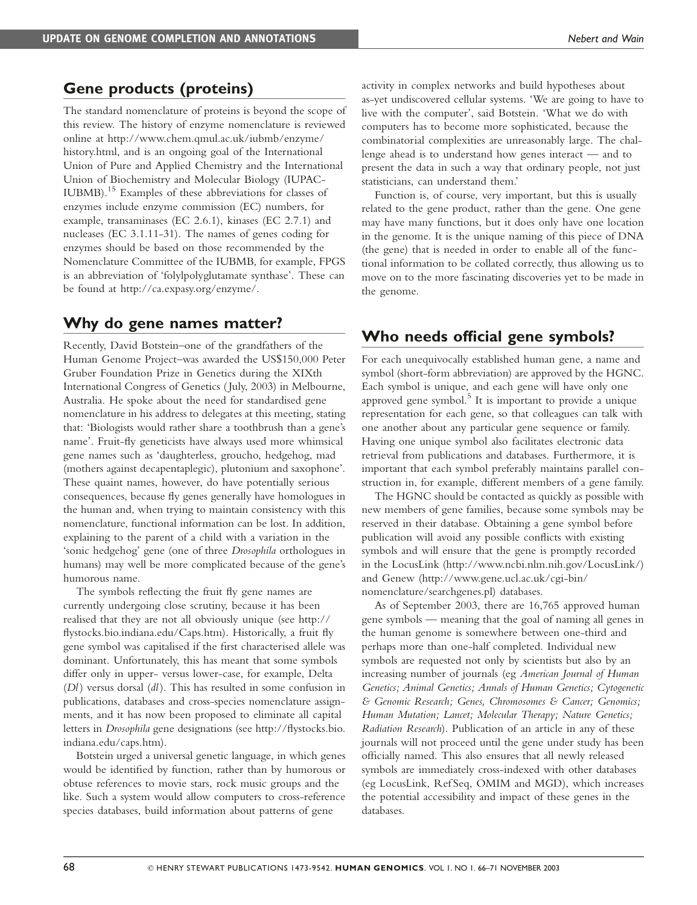## Gene products (proteins)

The standard nomenclature of proteins is beyond the scope of this review. The history of enzyme nomenclature is reviewed online at http://www.chem.qmul.ac.uk/iubmb/enzyme/ history.html, and is an ongoing goal of the International Union of Pure and Applied Chemistry and the International Union of Biochemistry and Molecular Biology (IUPAC-IUBMB).<sup>15</sup> Examples of these abbreviations for classes of enzymes include enzyme commission (EC) numbers, for example, transaminases (EC 2.6.1), kinases (EC 2.7.1) and nucleases (EC 3.1.11-31). The names of genes coding for enzymes should be based on those recommended by the Nomenclature Committee of the IUBMB, for example, FPGS is an abbreviation of 'folylpolyglutamate synthase'. These can be found at http://ca.expasy.org/enzyme/.

## Why do gene names matter?

Recently, David Botstein–one of the grandfathers of the Human Genome Project–was awarded the US\$150,000 Peter Gruber Foundation Prize in Genetics during the XIXth International Congress of Genetics ( July, 2003) in Melbourne, Australia. He spoke about the need for standardised gene nomenclature in his address to delegates at this meeting, stating that: 'Biologists would rather share a toothbrush than a gene's name'. Fruit-fly geneticists have always used more whimsical gene names such as 'daughterless, groucho, hedgehog, mad (mothers against decapentaplegic), plutonium and saxophone'. These quaint names, however, do have potentially serious consequences, because fly genes generally have homologues in the human and, when trying to maintain consistency with this nomenclature, functional information can be lost. In addition, explaining to the parent of a child with a variation in the 'sonic hedgehog' gene (one of three Drosophila orthologues in humans) may well be more complicated because of the gene's humorous name.

The symbols reflecting the fruit fly gene names are currently undergoing close scrutiny, because it has been realised that they are not all obviously unique (see http:// flystocks.bio.indiana.edu/Caps.htm). Historically, a fruit fly gene symbol was capitalised if the first characterised allele was dominant. Unfortunately, this has meant that some symbols differ only in upper- versus lower-case, for example, Delta  $(Dl)$  versus dorsal  $(dl)$ . This has resulted in some confusion in publications, databases and cross-species nomenclature assignments, and it has now been proposed to eliminate all capital letters in Drosophila gene designations (see http://flystocks.bio. indiana.edu/caps.htm).

Botstein urged a universal genetic language, in which genes would be identified by function, rather than by humorous or obtuse references to movie stars, rock music groups and the like. Such a system would allow computers to cross-reference species databases, build information about patterns of gene

activity in complex networks and build hypotheses about as-yet undiscovered cellular systems. 'We are going to have to live with the computer', said Botstein. 'What we do with computers has to become more sophisticated, because the combinatorial complexities are unreasonably large. The challenge ahead is to understand how genes interact — and to present the data in such a way that ordinary people, not just statisticians, can understand them.'

Function is, of course, very important, but this is usually related to the gene product, rather than the gene. One gene may have many functions, but it does only have one location in the genome. It is the unique naming of this piece of DNA (the gene) that is needed in order to enable all of the functional information to be collated correctly, thus allowing us to move on to the more fascinating discoveries yet to be made in the genome.

## Who needs official gene symbols?

For each unequivocally established human gene, a name and symbol (short-form abbreviation) are approved by the HGNC. Each symbol is unique, and each gene will have only one approved gene symbol.<sup>5</sup> It is important to provide a unique representation for each gene, so that colleagues can talk with one another about any particular gene sequence or family. Having one unique symbol also facilitates electronic data retrieval from publications and databases. Furthermore, it is important that each symbol preferably maintains parallel construction in, for example, different members of a gene family.

The HGNC should be contacted as quickly as possible with new members of gene families, because some symbols may be reserved in their database. Obtaining a gene symbol before publication will avoid any possible conflicts with existing symbols and will ensure that the gene is promptly recorded in the LocusLink (http://www.ncbi.nlm.nih.gov/LocusLink/) and Genew (http://www.gene.ucl.ac.uk/cgi-bin/ nomenclature/searchgenes.pl) databases.

As of September 2003, there are 16,765 approved human gene symbols — meaning that the goal of naming all genes in the human genome is somewhere between one-third and perhaps more than one-half completed. Individual new symbols are requested not only by scientists but also by an increasing number of journals (eg American Journal of Human Genetics; Animal Genetics; Annals of Human Genetics; Cytogenetic & Genomic Research; Genes, Chromosomes & Cancer; Genomics; Human Mutation; Lancet; Molecular Therapy; Nature Genetics; Radiation Research). Publication of an article in any of these journals will not proceed until the gene under study has been officially named. This also ensures that all newly released symbols are immediately cross-indexed with other databases (eg LocusLink, Ref Seq, OMIM and MGD), which increases the potential accessibility and impact of these genes in the databases.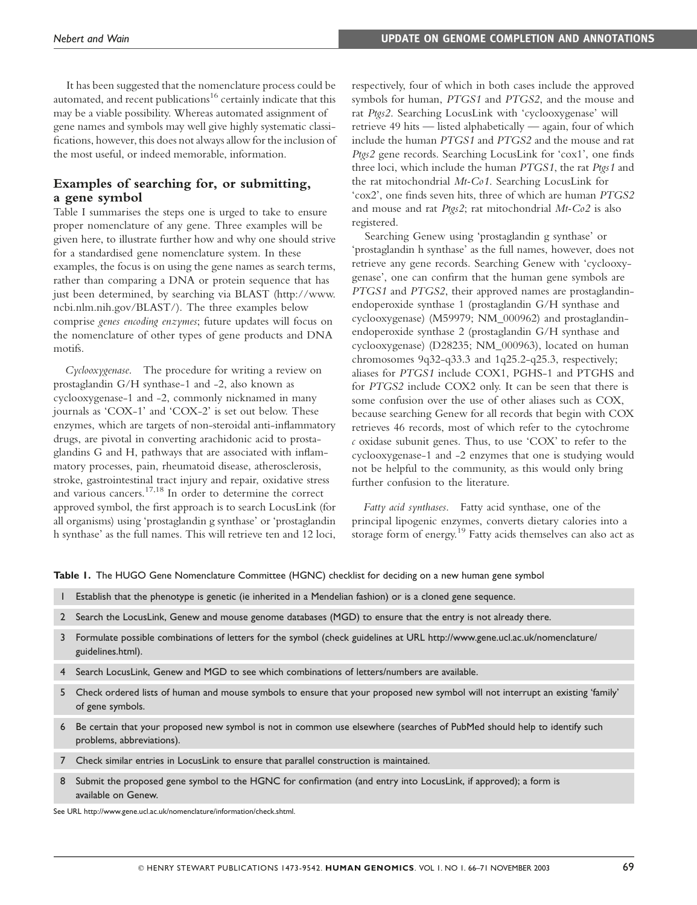It has been suggested that the nomenclature process could be automated, and recent publications<sup>16</sup> certainly indicate that this may be a viable possibility. Whereas automated assignment of gene names and symbols may well give highly systematic classifications, however, this does not always allow for the inclusion of the most useful, or indeed memorable, information.

#### Examples of searching for, or submitting, a gene symbol

Table I summarises the steps one is urged to take to ensure proper nomenclature of any gene. Three examples will be given here, to illustrate further how and why one should strive for a standardised gene nomenclature system. In these examples, the focus is on using the gene names as search terms, rather than comparing a DNA or protein sequence that has just been determined, by searching via BLAST (http://www. ncbi.nlm.nih.gov/BLAST/). The three examples below comprise genes encoding enzymes; future updates will focus on the nomenclature of other types of gene products and DNA motifs.

Cyclooxygenase. The procedure for writing a review on prostaglandin G/H synthase-1 and -2, also known as cyclooxygenase-1 and -2, commonly nicknamed in many journals as 'COX-1' and 'COX-2' is set out below. These enzymes, which are targets of non-steroidal anti-inflammatory drugs, are pivotal in converting arachidonic acid to prostaglandins G and H, pathways that are associated with inflammatory processes, pain, rheumatoid disease, atherosclerosis, stroke, gastrointestinal tract injury and repair, oxidative stress and various cancers.17,18 In order to determine the correct approved symbol, the first approach is to search LocusLink (for all organisms) using 'prostaglandin g synthase' or 'prostaglandin h synthase' as the full names. This will retrieve ten and 12 loci, respectively, four of which in both cases include the approved symbols for human, PTGS1 and PTGS2, and the mouse and rat Ptgs2. Searching LocusLink with 'cyclooxygenase' will retrieve 49 hits — listed alphabetically — again, four of which include the human PTGS1 and PTGS2 and the mouse and rat Ptgs2 gene records. Searching LocusLink for 'cox1', one finds three loci, which include the human PTGS1, the rat Ptgs1 and the rat mitochondrial Mt-Co1. Searching LocusLink for 'cox2', one finds seven hits, three of which are human PTGS2 and mouse and rat Ptgs2; rat mitochondrial Mt-Co2 is also registered.

Searching Genew using 'prostaglandin g synthase' or 'prostaglandin h synthase' as the full names, however, does not retrieve any gene records. Searching Genew with 'cyclooxygenase', one can confirm that the human gene symbols are PTGS1 and PTGS2, their approved names are prostaglandinendoperoxide synthase 1 (prostaglandin G/H synthase and cyclooxygenase) (M59979; NM\_000962) and prostaglandinendoperoxide synthase 2 (prostaglandin G/H synthase and cyclooxygenase) (D28235; NM\_000963), located on human chromosomes 9q32-q33.3 and 1q25.2-q25.3, respectively; aliases for PTGS1 include COX1, PGHS-1 and PTGHS and for PTGS2 include COX2 only. It can be seen that there is some confusion over the use of other aliases such as COX, because searching Genew for all records that begin with COX retrieves 46 records, most of which refer to the cytochrome c oxidase subunit genes. Thus, to use 'COX' to refer to the cyclooxygenase-1 and -2 enzymes that one is studying would not be helpful to the community, as this would only bring further confusion to the literature.

Fatty acid synthases. Fatty acid synthase, one of the principal lipogenic enzymes, converts dietary calories into a storage form of energy.<sup>19</sup> Fatty acids themselves can also act as

Table 1. The HUGO Gene Nomenclature Committee (HGNC) checklist for deciding on a new human gene symbol

- 1 Establish that the phenotype is genetic (ie inherited in a Mendelian fashion) or is a cloned gene sequence.
- 2 Search the LocusLink, Genew and mouse genome databases (MGD) to ensure that the entry is not already there.
- 3 Formulate possible combinations of letters for the symbol (check guidelines at URL http://www.gene.ucl.ac.uk/nomenclature/ guidelines.html).
- 4 Search LocusLink, Genew and MGD to see which combinations of letters/numbers are available.
- 5 Check ordered lists of human and mouse symbols to ensure that your proposed new symbol will not interrupt an existing 'family' of gene symbols.
- 6 Be certain that your proposed new symbol is not in common use elsewhere (searches of PubMed should help to identify such problems, abbreviations).
- 7 Check similar entries in LocusLink to ensure that parallel construction is maintained.
- 8 Submit the proposed gene symbol to the HGNC for confirmation (and entry into LocusLink, if approved); a form is available on Genew.

See URL http://www.gene.ucl.ac.uk/nomenclature/information/check.shtml.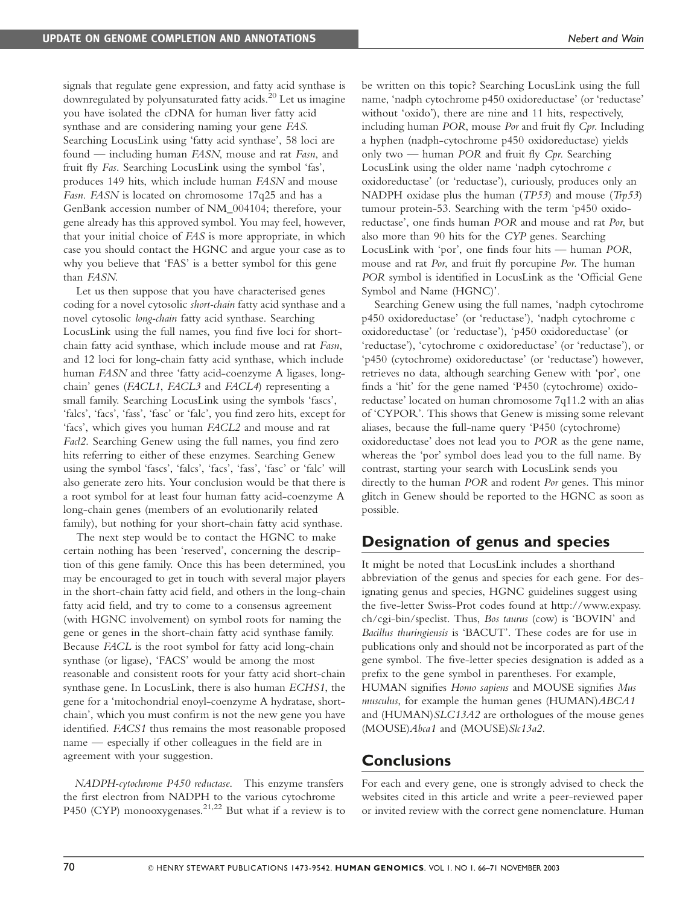signals that regulate gene expression, and fatty acid synthase is downregulated by polyunsaturated fatty acids. $^{20}$  Let us imagine you have isolated the cDNA for human liver fatty acid synthase and are considering naming your gene FAS. Searching LocusLink using 'fatty acid synthase', 58 loci are found — including human FASN, mouse and rat Fasn, and fruit fly Fas. Searching LocusLink using the symbol 'fas', produces 149 hits, which include human FASN and mouse Fasn. FASN is located on chromosome 17q25 and has a GenBank accession number of NM\_004104; therefore, your gene already has this approved symbol. You may feel, however, that your initial choice of FAS is more appropriate, in which case you should contact the HGNC and argue your case as to why you believe that 'FAS' is a better symbol for this gene than FASN.

Let us then suppose that you have characterised genes coding for a novel cytosolic short-chain fatty acid synthase and a novel cytosolic long-chain fatty acid synthase. Searching LocusLink using the full names, you find five loci for shortchain fatty acid synthase, which include mouse and rat Fasn, and 12 loci for long-chain fatty acid synthase, which include human FASN and three 'fatty acid-coenzyme A ligases, longchain' genes (FACL1, FACL3 and FACL4) representing a small family. Searching LocusLink using the symbols 'fascs', 'falcs', 'facs', 'fass', 'fasc' or 'falc', you find zero hits, except for 'facs', which gives you human FACL2 and mouse and rat Facl2. Searching Genew using the full names, you find zero hits referring to either of these enzymes. Searching Genew using the symbol 'fascs', 'falcs', 'facs', 'fass', 'fasc' or 'falc' will also generate zero hits. Your conclusion would be that there is a root symbol for at least four human fatty acid-coenzyme A long-chain genes (members of an evolutionarily related family), but nothing for your short-chain fatty acid synthase.

The next step would be to contact the HGNC to make certain nothing has been 'reserved', concerning the description of this gene family. Once this has been determined, you may be encouraged to get in touch with several major players in the short-chain fatty acid field, and others in the long-chain fatty acid field, and try to come to a consensus agreement (with HGNC involvement) on symbol roots for naming the gene or genes in the short-chain fatty acid synthase family. Because FACL is the root symbol for fatty acid long-chain synthase (or ligase), 'FACS' would be among the most reasonable and consistent roots for your fatty acid short-chain synthase gene. In LocusLink, there is also human ECHS1, the gene for a 'mitochondrial enoyl-coenzyme A hydratase, shortchain', which you must confirm is not the new gene you have identified. FACS1 thus remains the most reasonable proposed name — especially if other colleagues in the field are in agreement with your suggestion.

NADPH-cytochrome P450 reductase. This enzyme transfers the first electron from NADPH to the various cytochrome P450 (CYP) monooxygenases.<sup>21,22</sup> But what if a review is to be written on this topic? Searching LocusLink using the full name, 'nadph cytochrome p450 oxidoreductase' (or 'reductase' without 'oxido'), there are nine and 11 hits, respectively, including human POR, mouse Por and fruit fly Cpr. Including a hyphen (nadph-cytochrome p450 oxidoreductase) yields only two — human POR and fruit fly Cpr. Searching LocusLink using the older name 'nadph cytochrome  $c$ oxidoreductase' (or 'reductase'), curiously, produces only an NADPH oxidase plus the human (TP53) and mouse (Trp53) tumour protein-53. Searching with the term 'p450 oxidoreductase', one finds human POR and mouse and rat Por, but also more than 90 hits for the CYP genes. Searching LocusLink with 'por', one finds four hits — human POR, mouse and rat Por, and fruit fly porcupine Por. The human POR symbol is identified in LocusLink as the 'Official Gene Symbol and Name (HGNC)'.

Searching Genew using the full names, 'nadph cytochrome p450 oxidoreductase' (or 'reductase'), 'nadph cytochrome c oxidoreductase' (or 'reductase'), 'p450 oxidoreductase' (or 'reductase'), 'cytochrome c oxidoreductase' (or 'reductase'), or 'p450 (cytochrome) oxidoreductase' (or 'reductase') however, retrieves no data, although searching Genew with 'por', one finds a 'hit' for the gene named 'P450 (cytochrome) oxidoreductase' located on human chromosome 7q11.2 with an alias of 'CYPOR'. This shows that Genew is missing some relevant aliases, because the full-name query 'P450 (cytochrome) oxidoreductase' does not lead you to POR as the gene name, whereas the 'por' symbol does lead you to the full name. By contrast, starting your search with LocusLink sends you directly to the human POR and rodent Por genes. This minor glitch in Genew should be reported to the HGNC as soon as possible.

## Designation of genus and species

It might be noted that LocusLink includes a shorthand abbreviation of the genus and species for each gene. For designating genus and species, HGNC guidelines suggest using the five-letter Swiss-Prot codes found at http://www.expasy. ch/cgi-bin/speclist. Thus, Bos taurus (cow) is 'BOVIN' and Bacillus thuringiensis is 'BACUT'. These codes are for use in publications only and should not be incorporated as part of the gene symbol. The five-letter species designation is added as a prefix to the gene symbol in parentheses. For example, HUMAN signifies Homo sapiens and MOUSE signifies Mus musculus, for example the human genes (HUMAN)ABCA1 and (HUMAN)SLC13A2 are orthologues of the mouse genes (MOUSE)Abca1 and (MOUSE)Slc13a2.

## **Conclusions**

For each and every gene, one is strongly advised to check the websites cited in this article and write a peer-reviewed paper or invited review with the correct gene nomenclature. Human